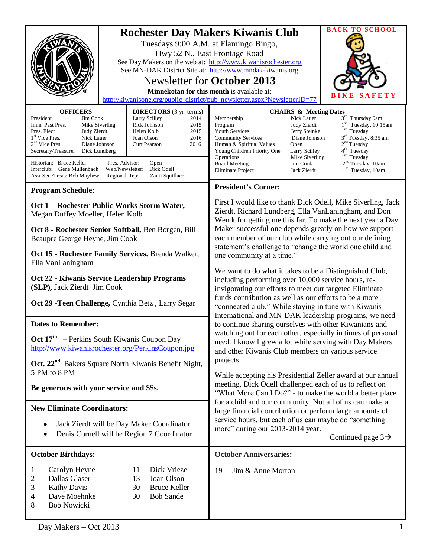|                                                                                                                                                                                                                                                                                                                                                                                                                                                                                                                                                                                   | <b>BACK TO SCHOOL</b><br><b>Rochester Day Makers Kiwanis Club</b><br>Tuesdays 9:00 A.M. at Flamingo Bingo,<br>Hwy 52 N., East Frontage Road<br>See Day Makers on the web at: http://www.kiwanisrochester.org<br>See MN-DAK District Site at: http://www.mndak-kiwanis.org<br><b>Newsletter for October 2013</b><br>Minnekotan for this month is available at:<br>AFETY<br>S<br>http://kiwanisone.org/public_district/pub_newsletter.aspx?NewsletterID=77                                                                                                                                                                                                                                                                                                                                                                                                                                                                                                                                                                                                                                                                                                                                                                                                                                                                                                                                                                                                   |  |
|-----------------------------------------------------------------------------------------------------------------------------------------------------------------------------------------------------------------------------------------------------------------------------------------------------------------------------------------------------------------------------------------------------------------------------------------------------------------------------------------------------------------------------------------------------------------------------------|------------------------------------------------------------------------------------------------------------------------------------------------------------------------------------------------------------------------------------------------------------------------------------------------------------------------------------------------------------------------------------------------------------------------------------------------------------------------------------------------------------------------------------------------------------------------------------------------------------------------------------------------------------------------------------------------------------------------------------------------------------------------------------------------------------------------------------------------------------------------------------------------------------------------------------------------------------------------------------------------------------------------------------------------------------------------------------------------------------------------------------------------------------------------------------------------------------------------------------------------------------------------------------------------------------------------------------------------------------------------------------------------------------------------------------------------------------|--|
| <b>OFFICERS</b><br><b>DIRECTORS</b> (3 yr terms)<br>President<br>Larry Scilley<br>Jim Cook<br>2014<br>Rick Johnson<br>2015<br>Mike Siverling<br>Imm. Past Pres.<br>Judy Zierdt<br>Helen Kolb<br>2015<br>Pres. Elect<br>1 <sup>st</sup> Vice Pres.<br>Nick Lauer<br>Joan Olson<br>2016<br>$2nd$ Vice Pres.<br>2016<br>Diane Johnson<br>Curt Pearson<br>Secretary/Treasurer<br>Dick Lundberg<br>Historian: Bruce Keller<br>Pres. Advisor:<br>Open<br>Dick Odell<br>Interclub: Gene Mullenbach<br>Web/Newsletter:<br>Zanti Squillace<br>Asst Sec./Treas: Bob Mayhew<br>Regional Rep: | <b>CHAIRS &amp; Meeting Dates</b><br>3rd Thursday 9am<br>Membership<br>Nick Lauer<br>$1st$ Tuesday, 10:15am<br>Program<br>Judy Zierdt<br>$1st$ Tuesday<br><b>Youth Services</b><br>Jerry Steinke<br>$3rd$ Tuesday, 8:35 am<br>Diane Johnson<br><b>Community Services</b><br>2 <sup>nd</sup> Tuesday<br>Human & Spiritual Values<br>Open<br>4 <sup>th</sup> Tuesday<br>Larry Scilley<br>Young Children Priority One<br>$1st$ Tuesday<br>Operations<br>Mike Siverling<br>2 <sup>nd</sup> Tuesday, 10am<br><b>Board Meeting</b><br>Jim Cook<br>Eliminate Project<br>Jack Zierdt<br>$1st$ Tuesday, 10am                                                                                                                                                                                                                                                                                                                                                                                                                                                                                                                                                                                                                                                                                                                                                                                                                                                        |  |
| <b>Program Schedule:</b>                                                                                                                                                                                                                                                                                                                                                                                                                                                                                                                                                          | <b>President's Corner:</b>                                                                                                                                                                                                                                                                                                                                                                                                                                                                                                                                                                                                                                                                                                                                                                                                                                                                                                                                                                                                                                                                                                                                                                                                                                                                                                                                                                                                                                 |  |
| Oct 1 - Rochester Public Works Storm Water,<br>Megan Duffey Moeller, Helen Kolb<br>Oct 8 - Rochester Senior Softball, Ben Borgen, Bill<br>Beaupre George Heyne, Jim Cook                                                                                                                                                                                                                                                                                                                                                                                                          | First I would like to thank Dick Odell, Mike Siverling, Jack<br>Zierdt, Richard Lundberg, Ella VanLaningham, and Don<br>Wendt for getting me this far. To make the next year a Day<br>Maker successful one depends greatly on how we support<br>each member of our club while carrying out our defining<br>statement's challenge to "change the world one child and<br>one community at a time."<br>We want to do what it takes to be a Distinguished Club,<br>including performing over 10,000 service hours, re-<br>invigorating our efforts to meet our targeted Eliminate<br>funds contribution as well as our efforts to be a more<br>"connected club." While staying in tune with Kiwanis<br>International and MN-DAK leadership programs, we need<br>to continue sharing ourselves with other Kiwanians and<br>watching out for each other, especially in times of personal<br>need. I know I grew a lot while serving with Day Makers<br>and other Kiwanis Club members on various service<br>projects.<br>While accepting his Presidential Zeller award at our annual<br>meeting, Dick Odell challenged each of us to reflect on<br>"What More Can I Do?" - to make the world a better place<br>for a child and our community. Not all of us can make a<br>large financial contribution or perform large amounts of<br>service hours, but each of us can maybe do "something<br>more" during our 2013-2014 year.<br>Continued page $3\rightarrow$ |  |
| Oct 15 - Rochester Family Services. Brenda Walker,<br>Ella VanLaningham<br>Oct 22 - Kiwanis Service Leadership Programs<br>(SLP), Jack Zierdt Jim Cook<br>Oct 29 - Teen Challenge, Cynthia Betz, Larry Segar                                                                                                                                                                                                                                                                                                                                                                      |                                                                                                                                                                                                                                                                                                                                                                                                                                                                                                                                                                                                                                                                                                                                                                                                                                                                                                                                                                                                                                                                                                                                                                                                                                                                                                                                                                                                                                                            |  |
| <b>Dates to Remember:</b><br>Oct 17 <sup>th</sup> - Perkins South Kiwanis Coupon Day<br>http://www.kiwanisrochester.org/PerkinsCoupon.jpg<br>Oct. 22 <sup>nd</sup> Bakers Square North Kiwanis Benefit Night,<br>5 PM to 8 PM<br>Be generous with your service and \$\$s.                                                                                                                                                                                                                                                                                                         |                                                                                                                                                                                                                                                                                                                                                                                                                                                                                                                                                                                                                                                                                                                                                                                                                                                                                                                                                                                                                                                                                                                                                                                                                                                                                                                                                                                                                                                            |  |
| <b>New Eliminate Coordinators:</b><br>Jack Zierdt will be Day Maker Coordinator<br>Denis Cornell will be Region 7 Coordinator                                                                                                                                                                                                                                                                                                                                                                                                                                                     |                                                                                                                                                                                                                                                                                                                                                                                                                                                                                                                                                                                                                                                                                                                                                                                                                                                                                                                                                                                                                                                                                                                                                                                                                                                                                                                                                                                                                                                            |  |
| <b>October Birthdays:</b>                                                                                                                                                                                                                                                                                                                                                                                                                                                                                                                                                         | <b>October Anniversaries:</b>                                                                                                                                                                                                                                                                                                                                                                                                                                                                                                                                                                                                                                                                                                                                                                                                                                                                                                                                                                                                                                                                                                                                                                                                                                                                                                                                                                                                                              |  |
| Dick Vrieze<br>Carolyn Heyne<br>11<br>1<br>Dallas Glaser<br>Joan Olson<br>2<br>13<br><b>Kathy Davis</b><br>30<br><b>Bruce Keller</b><br>3<br>Dave Moehnke<br><b>Bob Sande</b><br>30<br>4<br><b>Bob Nowicki</b><br>8                                                                                                                                                                                                                                                                                                                                                               | Jim & Anne Morton<br>19                                                                                                                                                                                                                                                                                                                                                                                                                                                                                                                                                                                                                                                                                                                                                                                                                                                                                                                                                                                                                                                                                                                                                                                                                                                                                                                                                                                                                                    |  |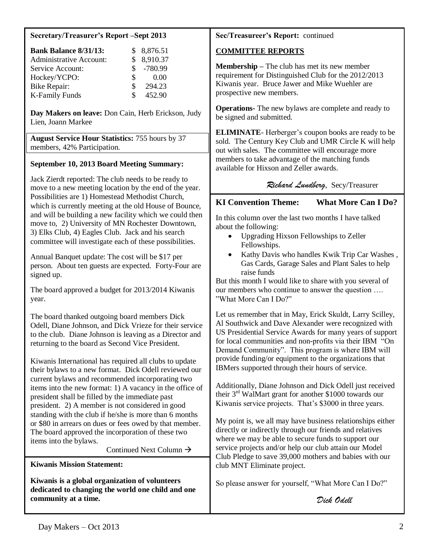#### **Secretary/Treasurer's Report –Sept 2013**

| <b>Bank Balance 8/31/13:</b>   |     | \$8,876.51  |
|--------------------------------|-----|-------------|
| <b>Administrative Account:</b> |     | \$8,910.37  |
| Service Account:               |     | $$ -780.99$ |
| Hockey/YCPO:                   | SS. | 0.00        |
| Bike Repair:                   | \$. | 294.23      |
| <b>K-Family Funds</b>          | Я   | 452.90      |

**Day Makers on leave:** Don Cain, Herb Erickson, Judy Lien, Joann Markee

**August Service Hour Statistics:** 755 hours by 37 members, 42% Participation.

# **September 10, 2013 Board Meeting Summary:**

Jack Zierdt reported: The club needs to be ready to move to a new meeting location by the end of the year. Possibilities are 1) Homestead Methodist Church, which is currently meeting at the old House of Bounce, and will be building a new facility which we could then move to, 2) University of MN Rochester Downtown, 3) Elks Club, 4) Eagles Club. Jack and his search committee will investigate each of these possibilities.

Annual Banquet update: The cost will be \$17 per person. About ten guests are expected. Forty-Four are signed up.

The board approved a budget for 2013/2014 Kiwanis year.

The board thanked outgoing board members Dick Odell, Diane Johnson, and Dick Vrieze for their service to the club. Diane Johnson is leaving as a Director and returning to the board as Second Vice President.

Kiwanis International has required all clubs to update their bylaws to a new format. Dick Odell reviewed our current bylaws and recommended incorporating two items into the new format: 1) A vacancy in the office of president shall be filled by the immediate past president. 2) A member is not considered in good standing with the club if he/she is more than 6 months or \$80 in arrears on dues or fees owed by that member. The board approved the incorporation of these two items into the bylaws.

Continued Next Column  $\rightarrow$ 

**Kiwanis Mission Statement:**

**Kiwanis is a global organization of volunteers dedicated to changing the world one child and one community at a time.**

# **Sec/Treasureer's Report:** continued

# **COMMITTEE REPORTS**

**Membership –** The club has met its new member requirement for Distinguished Club for the 2012/2013 Kiwanis year. Bruce Jawer and Mike Wuehler are prospective new members.

**Operations-** The new bylaws are complete and ready to be signed and submitted.

**ELIMINATE**- Herberger's coupon books are ready to be sold. The Century Key Club and UMR Circle K will help out with sales. The committee will encourage more members to take advantage of the matching funds available for Hixson and Zeller awards.

# *Richard Lundberg*, Secy/Treasurer

# **KI Convention Theme: What More Can I Do?**

In this column over the last two months I have talked about the following:

- Upgrading Hixson Fellowships to Zeller  $\bullet$ Fellowships.
- Kathy Davis who handles Kwik Trip Car Washes , Gas Cards, Garage Sales and Plant Sales to help raise funds

But this month I would like to share with you several of our members who continue to answer the question …. "What More Can I Do?"

Let us remember that in May, Erick Skuldt, Larry Scilley, Al Southwick and Dave Alexander were recognized with US Presidential Service Awards for many years of support for local communities and non-profits via their IBM "On Demand Community". This program is where IBM will provide funding/or equipment to the organizations that IBMers supported through their hours of service.

Additionally, Diane Johnson and Dick Odell just received their 3rd WalMart grant for another \$1000 towards our Kiwanis service projects. That's \$3000 in three years.

My point is, we all may have business relationships either directly or indirectly through our friends and relatives where we may be able to secure funds to support our service projects and/or help our club attain our Model Club Pledge to save 39,000 mothers and babies with our club MNT Eliminate project.

So please answer for yourself, "What More Can I Do?"

*Dick Odell*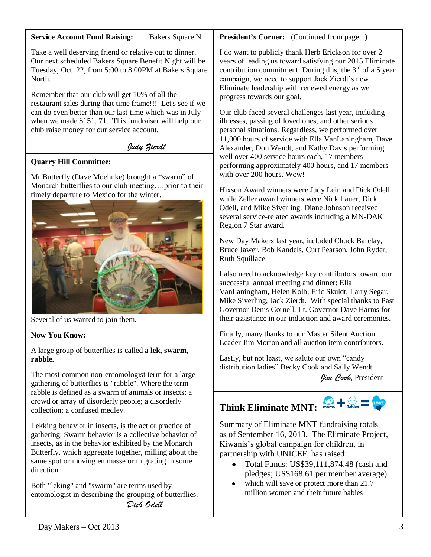# **Service Account Fund Raising:** Bakers Square N

Take a well deserving friend or relative out to dinner. Our next scheduled Bakers Square Benefit Night will be Tuesday, Oct. 22, from 5:00 to 8:00PM at Bakers Square North.

Remember that our club will get 10% of all the restaurant sales during that time frame!!! Let's see if we can do even better than our last time which was in July when we made \$151. 71. This fundraiser will help our club raise money for our service account.

# *Judy Zierdt*

# **Quarry Hill Committee:**

Mr Butterfly (Dave Moehnke) brought a "swarm" of Monarch butterflies to our club meeting….prior to their timely departure to Mexico for the winter.



Several of us wanted to join them.

# **Now You Know:**

A large group of butterflies is called a **lek, swarm, rabble.** 

The most common non-entomologist term for a large gathering of butterflies is "rabble". Where the term rabble is defined as a swarm of animals or insects; a crowd or array of disorderly people; a disorderly collection; a confused medley.

Lekking behavior in insects, is the act or practice of gathering. Swarm behavior is a collective behavior of insects, as in the behavior exhibited by the Monarch Butterfly, which aggregate together, milling about the same spot or moving en masse or migrating in some direction.

Both "leking" and "swarm" are terms used by entomologist in describing the grouping of butterflies. *Dick Odell*

# **President's Corner:** (Continued from page 1)

I do want to publicly thank Herb Erickson for over 2 years of leading us toward satisfying our 2015 Eliminate contribution commitment. During this, the  $3<sup>rd</sup>$  of a 5 year campaign, we need to support Jack Zierdt's new Eliminate leadership with renewed energy as we progress towards our goal.

Our club faced several challenges last year, including illnesses, passing of loved ones, and other serious personal situations. Regardless, we performed over 11,000 hours of service with Ella VanLaningham, Dave Alexander, Don Wendt, and Kathy Davis performing well over 400 service hours each, 17 members performing approximately 400 hours, and 17 members with over 200 hours. Wow!

Hixson Award winners were Judy Lein and Dick Odell while Zeller award winners were Nick Lauer, Dick Odell, and Mike Siverling. Diane Johnson received several service-related awards including a MN-DAK Region 7 Star award.

New Day Makers last year, included Chuck Barclay, Bruce Jawer, Bob Kandels, Curt Pearson, John Ryder, Ruth Squillace

I also need to acknowledge key contributors toward our successful annual meeting and dinner: Ella VanLaningham, Helen Kolb, Eric Skuldt, Larry Segar, Mike Siverling, Jack Zierdt. With special thanks to Past Governor Denis Cornell, Lt. Governor Dave Harms for their assistance in our induction and award ceremonies.

Finally, many thanks to our Master Silent Auction Leader Jim Morton and all auction item contributors.

Lastly, but not least, we salute our own "candy distribution ladies" Becky Cook and Sally Wendt.

*Jim Cook*, President

# **Think Eliminate MNT:**



Summary of Eliminate MNT fundraising totals as of September 16, 2013. The Eliminate Project, Kiwanis's global campaign for children, in partnership with UNICEF, has raised:

- $\bullet$ Total Funds: US\$39,111,874.48 (cash and pledges; US\$168.61 per member average)
- which will save or protect more than 21.7 million women and their future babies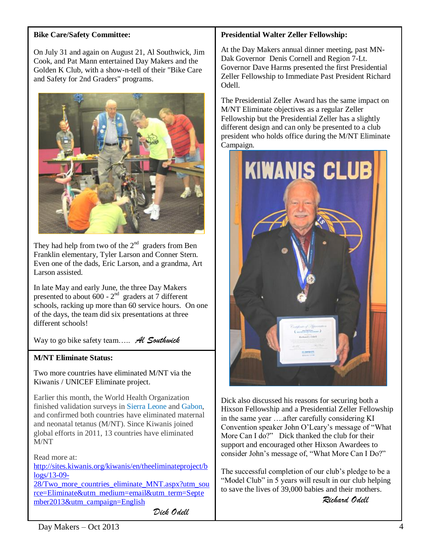### **Bike Care/Safety Committee:**

On July 31 and again on August 21, Al Southwick, Jim Cook, and Pat Mann entertained Day Makers and the Golden K Club, with a show-n-tell of their "Bike Care and Safety for 2nd Graders" programs.



They had help from two of the  $2<sup>nd</sup>$  graders from Ben Franklin elementary, Tyler Larson and Conner Stern. Even one of the dads, Eric Larson, and a grandma, Art Larson assisted.

In late May and early June, the three Day Makers presented to about  $600 - 2<sup>nd</sup>$  graders at 7 different schools, racking up more than 60 service hours. On one of the days, the team did six presentations at three different schools!

Way to go bike safety team….. *Al Southwick*

# **M/NT Eliminate Status:**

Two more countries have eliminated M/NT via the Kiwanis / UNICEF Eliminate project.

Earlier this month, the World Health Organization finished validation surveys in [Sierra Leone](http://sites.kiwanis.org/Kiwanis/en/theELIMINATEproject/Progress/Countries/SierraLeone.aspx) and [Gabon,](http://sites.kiwanis.org/Kiwanis/en/theELIMINATEproject/Progress/Countries/Gabon.aspx) and confirmed both countries have eliminated maternal and neonatal tetanus (M/NT). Since Kiwanis joined global efforts in 2011, 13 countries have eliminated M/NT

Read more at:

[http://sites.kiwanis.org/kiwanis/en/theeliminateproject/b](http://sites.kiwanis.org/kiwanis/en/theeliminateproject/blogs/13-09-28/Two_more_countries_eliminate_MNT.aspx?utm_source=Eliminate&utm_medium=email&utm_term=September2013&utm_campaign=English) [logs/13-09-](http://sites.kiwanis.org/kiwanis/en/theeliminateproject/blogs/13-09-28/Two_more_countries_eliminate_MNT.aspx?utm_source=Eliminate&utm_medium=email&utm_term=September2013&utm_campaign=English)

[28/Two\\_more\\_countries\\_eliminate\\_MNT.aspx?utm\\_sou](http://sites.kiwanis.org/kiwanis/en/theeliminateproject/blogs/13-09-28/Two_more_countries_eliminate_MNT.aspx?utm_source=Eliminate&utm_medium=email&utm_term=September2013&utm_campaign=English) [rce=Eliminate&utm\\_medium=email&utm\\_term=Septe](http://sites.kiwanis.org/kiwanis/en/theeliminateproject/blogs/13-09-28/Two_more_countries_eliminate_MNT.aspx?utm_source=Eliminate&utm_medium=email&utm_term=September2013&utm_campaign=English) [mber2013&utm\\_campaign=English](http://sites.kiwanis.org/kiwanis/en/theeliminateproject/blogs/13-09-28/Two_more_countries_eliminate_MNT.aspx?utm_source=Eliminate&utm_medium=email&utm_term=September2013&utm_campaign=English)

*Dick Odell*

# **Presidential Walter Zeller Fellowship:**

At the Day Makers annual dinner meeting, past MN-Dak Governor Denis Cornell and Region 7-Lt. Governor Dave Harms presented the first Presidential Zeller Fellowship to Immediate Past President Richard Odell.

The Presidential Zeller Award has the same impact on M/NT Eliminate objectives as a regular Zeller Fellowship but the Presidential Zeller has a slightly different design and can only be presented to a club president who holds office during the M/NT Eliminate Campaign.



Dick also discussed his reasons for securing both a Hixson Fellowship and a Presidential Zeller Fellowship in the same year ….after carefully considering KI Convention speaker John O'Leary's message of "What More Can I do?" Dick thanked the club for their support and encouraged other Hixson Awardees to consider John's message of, "What More Can I Do?"

The successful completion of our club's pledge to be a "Model Club" in 5 years will result in our club helping to save the lives of 39,000 babies and their mothers.

*Richard Odell*